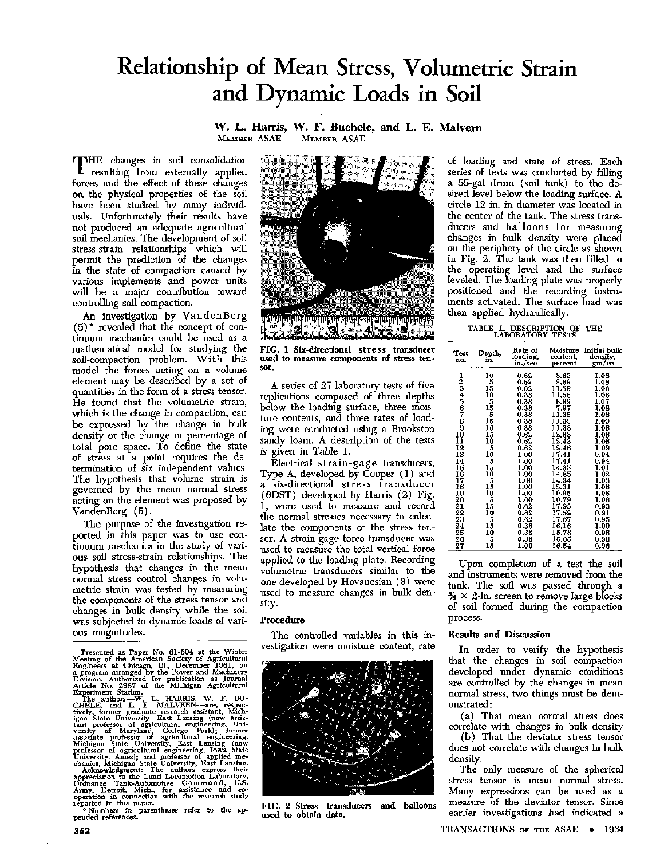# Relationship of Mean Stress, Volumetric Strain and Dynamic Loads in Soil

W. L. Harris, W. F. Buchele, and L. E. Malvern<br>MEMBER ASAE MEMBER ASAE MEMBER ASAE

THE changes in soil consolidation<br>resulting from externally applied HE changes in soil consolidation forces and the effect of these changes on the physical properties of the soil have been studied by many individuals. Unfortunately their results have not produced an adequate agricultural soil mechanics. The development of soil stress-strain relationships which will permit the prediction of the changes in the state of compaction caused by various implements and power units will be a major contribution toward controlling soil compaction.

An investigation by VandenBerg  $(5)$ <sup>\*</sup> revealed that the concept of continuum mechanics could be used as a mathematical model for studying the soil-compaction problem. With this model the forces acting on a volume element may be described by a set of quantities in the form of a stress tensor. He found that the volumetric strain, which is the change in compaction, can be expressed by the change in bulk density or the change in percentage of total pore space. To define the state of stress **at** a point requires the determination of six independent values. The hypothesis that volume strain is governed by the mean normal stress acting on the element was proposed by VandenBerg (5).

The purpose of the investigation reported in this paper was to use continuum mechanics in the study of various soil stress-strain relationships. The hypothesis that changes in the mean normal stress control changes in volumetric strain was tested by measuring the components of the stress tensor and changes in bulk density while the soil was subjected to dynamic loads of various magnitudes.

Presented as Paper No. 61-604 at the Winter<br>Meeting of the American Society of Agricultural<br>Engineers at Chicago, Ill., December 1961, on<br>a program arranged by the Power and Machinery Division. Authorized for publication a



FIG. 1 Six-directional stress transducer used to measure components of stress tensor.

A series of 27 laboratory tests of five replications composed of three depths below the loading surface, three moisture contents, and three rates of loading were conducted using a Brookston sandy loam. A description of the tests is given in Table 1.

Electrical strain-gage transducers, Type A, developed by Cooper (1) and six-directional stress transducer (6DST) developed by Harris (2) Fig. 1, were used to measure and record the normal stresses necessary to calculate the components of the stress tensor. A strain-gage force transducer was used to measure the total vertical force applied to the loading plate. Recording volumetric transducers similar to the one developed by Hovanesian (3) were used to measure changes in bulk density.

#### **Procedure**

The controlled variables in this investigation were moisture content, rate



FIG. 2 Stress transducers and balloons used **to obtain data.** 

of loading and state of stress. Each series of tests was conducted by filling a 55-gal drum (soil tank) to the desired level below the loading surface. A circle 12 in. in diameter was located in the center of the tank. The stress transducers and balloons for measuring changes in bulk density were placed on the periphery of the circle as shown in Fig. 2. The tank was then filled to the operating level and the surface leveled. The loading plate was properly positioned and the recording instruments activated. The surface load was then applied hydraulically.

TABLE 1. DESCRIPTION OF THE LABORATORY TESTS

| Test<br>no.                                                                                      | Depth,<br>ín.                                                                                    | Rate of<br>loading,<br>in /sec                                                                                                                                               | Moisture<br>content,<br>percent                                                                                                                                                                | Initial bulk<br>density,<br>gm/cc                                                                                                                                                |
|--------------------------------------------------------------------------------------------------|--------------------------------------------------------------------------------------------------|------------------------------------------------------------------------------------------------------------------------------------------------------------------------------|------------------------------------------------------------------------------------------------------------------------------------------------------------------------------------------------|----------------------------------------------------------------------------------------------------------------------------------------------------------------------------------|
| 123456789<br>10<br>$\frac{11}{12}$<br>13<br>14<br>15<br>167<br>18<br>19<br>20<br>$\frac{21}{22}$ | $\frac{10}{5}$<br>15 10 5 15 5<br>15 5 5 5 16<br>10<br>15<br>$\frac{10}{5}$<br>10<br>51505565505 | 0.62<br>0.62<br>0.62<br>0.38<br>0.38<br>0.38<br>0.38<br>0.38<br>0.38<br>0.62<br>0.62<br>0.62<br>1.00<br>1.00<br>1.00<br>1.00<br>1.00<br>1.00<br>1.00<br>1.00<br>0.62<br>0.62 | 8.63<br>9,89<br>11.59<br>11.56<br>8.89<br>7.97<br>11.35<br>11.39<br>11.38<br>12.63<br>12,43<br>12.46<br>17.41<br>17.41<br>14.85<br>14.85<br>14.34<br>12.31<br>10.95<br>10.79<br>17.93<br>17.52 | 1.08<br>1.08<br>1.06<br>1.06<br>1.07<br>1.08<br>1.08<br>1.09<br>1.06<br>1.06<br>1.08<br>1.09<br>0.94<br>0.94<br>1.01<br>1.02<br>1.03<br>1.08<br>1,06<br>1.06<br>$0.93$<br>$0.91$ |
| 23<br>24<br>25<br>26<br>27                                                                       | iě<br>5<br>15                                                                                    | 0.62<br>0.38<br>0.38<br>0.38<br>1.00                                                                                                                                         | 17.67<br>16.16<br>15.78<br>16.05<br>16,54                                                                                                                                                      | 0.95<br>1.00<br>0.98<br>0.98<br>0.96                                                                                                                                             |

Upon completion of a test the soil and instruments were removed from the tank. The soil was passed through a  $\frac{3}{4} \times 2$ -in. screen to remove large blocks of soil formed during the compaction process.

### **Results and Discussion**

In order to verify the hypothesis that the changes in soil compaction developed under dynamic conditions are controlled by the changes in mean normal stress, two things must be demonstrated :

(a) That mean normal stress does correlate with changes in bulk density

(b) That the deviator stress tensor does not correlate with changes in bulk density.

The only measure of the spherical stress tensor is mean normal stress. Many expressions can be used as a measure of the deviator tensor. Since earlier investigations had indicated **a**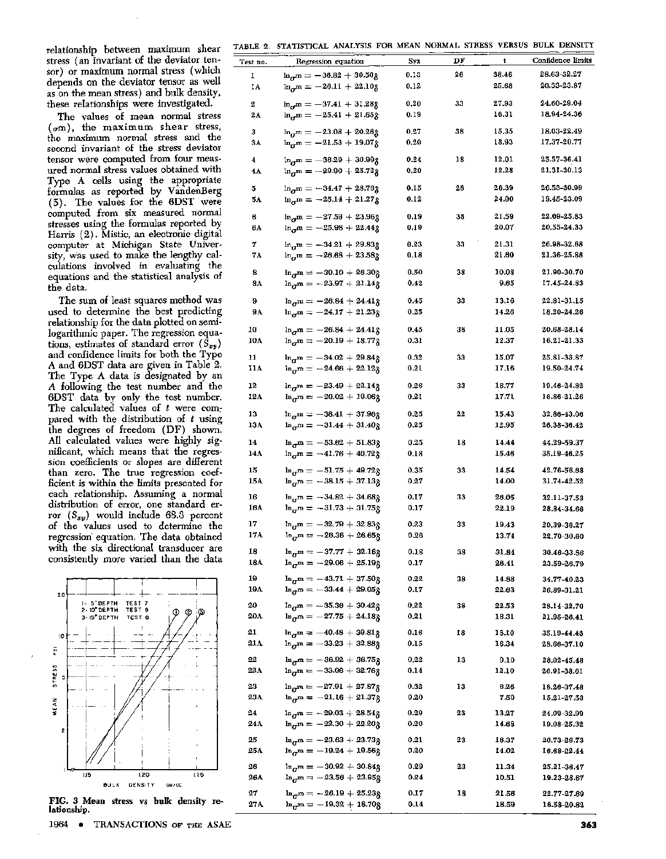TABLE 2. STATISTICAL ANALYSIS FOR MEAN NORMAL STRESS VERSUS BULK DENSITY

relationship between maximum shear stress (an invariant of the deviator tensor) or maximum normal stress (which depends on the deviator tensor as well as on the mean stress) and bulk density, these relationships were investigated.

The values of mean normal stress  $(\sigma m)$ , the maximum shear stress, the maximum normal stress and the second invariant of the stress deviator tensor were computed from four measured normal stress values obtained with Type A cells using the appropriate formulas as reported by VandenBerg (5). The values for the 6DST were computed from six measured normal stresses using the formulas reported by Harris (2). Mistic, an electronic digital computer at Michigan State University, was used to make the lengthy calculations involved in evaluating the equations and the statistical analysis of the data.

The sum of least squares method was used to determine the best predicting relationship for the data plotted on semilogarithmic paper. The regression equations, estimates of standard error  $(\bar{S}_{xy})$ and confidence limits for both the Type A and 6DST data are given in Table 2. The Type A data is designated by an *A* following the test number and the 6DST data by only the test number. The calculated values of *t* were compared with the distribution of *t* using the degrees of freedom (DF) shown. All calculated values were highly significant, which means that the regression coefficients or slopes are different than zero. The true regression coefficient is within the limits presented for each relationship. Assuming a normal distribution of error, one standard error *(Sxy)* would include 68.3 percent of the values used to determine the regression equation. The data obtained with the six directional transducer are consistently more varied than the data



FIG. 3 Mean stress vs **bulk** density **relationship.** 

1964 • TRANSACTIONS OF THE ASAE

| Test no.  | Regression equation                                                      | Syx          | DF | t              | Confidence limits          |
|-----------|--------------------------------------------------------------------------|--------------|----|----------------|----------------------------|
| ı         | $\ln_{q}m = -36.82 + 30.50g$                                             | 0.13         | 26 | 38.46          | 28.63-32.27                |
| IA        | $\ln_{\sigma} m = -26.11 + 22.108$                                       | 0.12         |    | 25.68          | 20.33-23.87                |
|           |                                                                          |              |    |                |                            |
| 2         | $\ln_{\alpha} m = -37.41 + 31.28g$                                       | 0.20         | 33 | 27.93          | 24.60-29.04<br>18.94-24.36 |
| 2A        | $\ln_{r}m = -25.41 + 21.65g$                                             | 0.19         |    | 16.31          |                            |
| з         | $\ln_{\pi} m = -23.08 + 20.268$                                          | 0.27         | 38 | 15.35          | 18.03-22.49                |
| 3А        | $\ln_{\sigma} m = -21.53 + 19.078$                                       | 0.20         |    | 18.93          | 17.37-20.77                |
| 4         | $\ln_{\sigma} m = -36.29 + 30.99g$                                       | 0.24         | 18 | 12.01          | 25.57-36.41                |
| 4A        | $\ln_{\sigma} m = -29.90 + 25.72g$                                       | 0,20         |    | 12,28          | 21,31-30.13                |
|           |                                                                          |              |    |                |                            |
| 5         | $\ln_{\sigma} m = -34.47 + 28.76g$                                       | 0.15         | 28 | 26.39          | 26.53-30.99                |
| 5А        | $\ln_{\sigma} m = -25.14 + 21.27g$                                       | 0.12         |    | 24.00          | 19.45-23.09                |
| 6         | $\ln_{q}m = -27.59 + 23.96g$                                             | 0.19         | 38 | 21.59          | 22.09-25.83                |
| 6A        | $\ln_{\pi} m = -25.98 + 22.448$                                          | 0.19         |    | 20.07          | 20,55-24.33                |
|           |                                                                          |              | 33 | 21.31          | 26.98-32.68                |
| 7<br>7A   | $\ln_{\sigma} m = -34.21 + 29.83g$<br>$\ln_{\sigma} m = -26.68 + 23.58g$ | 0.23<br>0.18 |    | 21.60          | 21.36-25.88                |
|           |                                                                          |              |    |                |                            |
| 8         | $\ln_{\sigma} m = -30.10 + 26.30g$                                       | 0.50         | 38 | 10.08          | 21.90-30.70                |
| 8A        | $\ln_{\sigma} m = -23.97 + 21.14g$                                       | 0.42         |    | 9.65           | 17.45-24.83                |
| 9         | $\ln_{\sigma} m = -26.84 + 24.41g$                                       | 0.45         | 33 | 13.16          | 22.81-31.15                |
| 9Α        | $\ln_{\alpha} m = -24.17 + 21.23g$                                       | 0.25         |    | 14.26          | 18.20-24.26                |
|           |                                                                          |              |    |                |                            |
| 10        | $\ln_{\sigma} m = -26.84 + 24.41g$                                       | 0.45         | 38 | 11.05          | 20.68-28.14                |
| 10A       | $\ln_{\alpha} m = -20.19 + 18.77g$                                       | 0.31         |    | 12.37          | 16.21-21.33                |
| 11        | $\ln_{\pi} m = -34.02 + 29.84g$                                          | 0.32         | 33 | 15.07          | 25.81-33.87                |
| 11A       | $\ln_{\sigma} m = -24.66 + 22.12g$                                       | 0.21         |    | 17.16          | 19.50-24.74                |
| 12        | $\ln_{\pi}$ m = -23.49 + 22.14g                                          | 0.26         | 33 | 16.77          | 19.46-24.82                |
| 12A       | $\ln_{\sigma} m = -20.02 + 19.06g$                                       | 0.21         |    | 17.71          | 16.86-21.26                |
|           |                                                                          |              |    |                |                            |
| 13        | $\ln_{\sigma} m = -38.41 + 37.96g$                                       | 0,25         | 22 | 15,43          | 32.86-43.06                |
| 13A       | $\ln_{\pi} m = -31.44 + 31.40g$                                          | 0,25         |    | 12.95          | 26.38-36.42                |
| 14        | $\ln_{\pi} m = -53.62 + 51.83g$                                          | 0.25         | 18 | 14,44          | 44.29-59.37                |
| 14A       | $\ln_{\sigma} m = -41.76 + 40.72g$                                       | 0.18         |    | 15.46          | 35.19-46.25                |
| 15        | $\ln_{\sigma} m = -51.75 + 49.72g$                                       | 0.35         | 33 | 14.54          | 42.76-56.68                |
| 15A       | $\ln_{\alpha} m = -38.15 + 37.13g$                                       | 0.27         |    | 14.00          | 31.74-42.52                |
|           |                                                                          |              |    |                |                            |
| 16        | $\ln_{\pi} m = -34.82 + 34.68g$                                          | 0.17         | 33 | 26.05          | 32.11-37.53                |
| 16A       | $\ln_{\sigma} m = -31.73 + 31.75g$                                       | 0.17         |    | 22.19          | 28.84-34.66                |
| 17        | $\ln_{\pi}m = -32.79 + 32.83g$                                           | 0.23         | 33 | 19,43          | 20,39-36,27                |
| 17A       | $\ln_{\sigma} m = -26.36 + 26.65g$                                       | 0.26         |    | 13.74          | 22.70-30.60                |
| 18        | $\ln_{\pi} m = -37.77 + 32.16g$                                          | 0.18         | 38 | 31.84          | 30.46-33.86                |
| 18A       | $\ln_{\sigma} m = -29.06 + 25.19g$                                       | 0.17         |    | 26.41          | 23,59-26,79                |
| 19        | $m_{\pi} = -43.71 + 37.50g$                                              | 0.22         |    |                |                            |
| 19A       | $\ln_{\sigma} m = -33.44 + 29.05g$                                       | 0.17         | 38 | 14.88<br>22.63 | 34.77-40.23<br>26.89-31.21 |
|           |                                                                          |              |    |                |                            |
| 20        | $\ln_{\pi} m = -35.36 + 30.42g$                                          | 0.22         | 38 | 22.53          | 28.14-32.70                |
| 20A       | $\ln_{\sigma} m = -27.75 + 24.18g$                                       | 0,21         |    | 18.31          | 21.95-26.41                |
| 21        | $\ln_{\sigma} m = -40.48 + 39.81g$                                       | 0.16         | 18 | 18.10          | 35.19-44.43                |
| 21 A      | $\ln_{\sigma}$ m = $-33.23 + 32.88g$                                     | 0.15         |    | 16.34          | 28.66-37.10                |
| 22        | $m_{\pi} = -36.92 + 36.75g$                                              | 0,22         | 13 | 9.10           | 28.02-45.48                |
| 22A       | $\ln_{\sigma} m = -33.06 + 32.76g$                                       | 0.14         |    | 12.10          | 26.91-38.61                |
|           |                                                                          |              |    |                |                            |
| 23<br>23A | $\ln_{\alpha} m = -27.91 + 27.87g$<br>$\ln_{\sigma} m = -21.16 + 21.37g$ | 0.32<br>0.20 | 13 | 6.26<br>7.50   | 18.26-37.48<br>15.21-27.53 |
|           |                                                                          |              |    |                |                            |
| 24        | $\ln_{\alpha} m = -29.03 + 28.54g$                                       | 0.29         | 23 | 13,27          | 24.09-32.99                |
| 24A       | $\ln_{\text{cr}} m = -22.30 + 22.20g$                                    | 0.20         |    | 14.68          | 19.08-25.32                |
| 25        | $\ln_{\sigma} m = -23.63 + 23.73g$                                       | 0.21         | 23 | 16.37          | 20.73-26.73                |
| 25A       | $\ln_{\sigma} m = -19.24 + 19.56g$                                       | 0.20         |    | 14.02          | 16.68-22.44                |
| 26        | $\ln_{\pi} m = -30.92 + 30.848$                                          | 0.29         | 23 | 11.34          | 25.21-36.47                |
| 26A       | $\ln_{\text{cr}} m = -23.56 + 23.95g$                                    | 0.24         |    | 10.51          | 19.23-28.67                |
| 27        | $\ln_{\pi} m = -26.19 + 25.23g$                                          | 0.17         | 18 | 21.56          | 22.77-27.69                |
| 27 A      | $\ln_{\pi} m = -19.32 + 18.708$                                          | 0.14         |    | 18.59          | 16.58-20.82                |
|           |                                                                          |              |    |                |                            |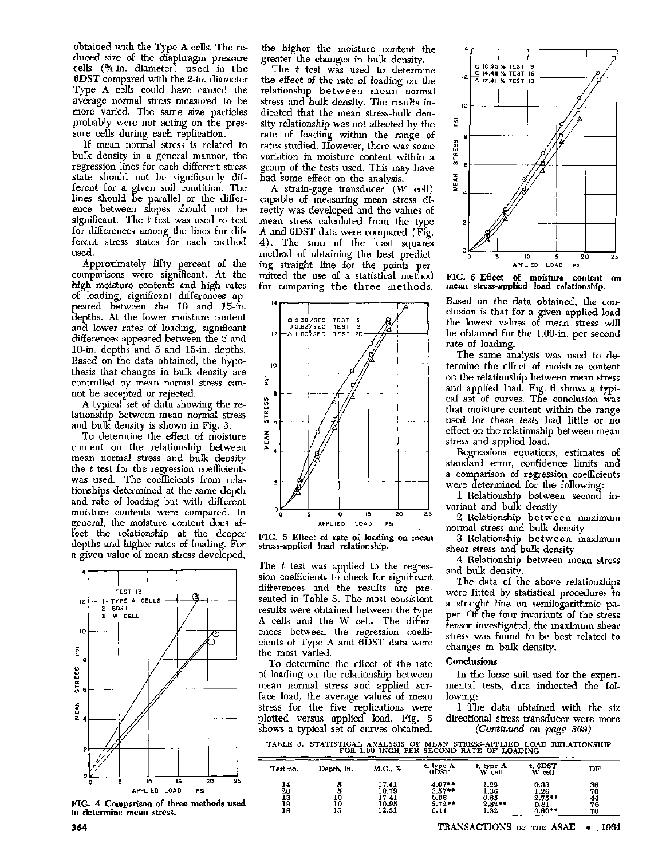obtained with the Type A cells. The reduced size of the diaphragm pressure cells (¾-in. diameter) used in the 6DST compared with the 2-in. diameter Type A cells could have caused the average normal stress measured to be more varied. The same size particles probably were not acting on the pressure cells during each replication.

If mean normal stress is related to bulk density in a general manner, the regression lines for each different stress state should not be significantly different for a given soil condition. The lines should be parallel or the difference between slopes should not be significant. The *t* test was used to test for differences among the lines for different stress states for each method used.

Approximately fifty percent of the comparisons were significant. At the high moisture contents and high rates of loading, significant differences appeared between the 10 and 15-in. depths. At the lower moisture content and lower rates of loading, significant differences appeared between the 5 and 10-in. depths and 5 and 15-in. depths. Based on the data obtained, the hypothesis that changes in bulk density are controlled by mean normal stress cannot be accepted or rejected.

A typical set of data showing the relationship between mean normal stress and bulk density is shown in Fig. 3.

To determine the effect of moisture content on the relationship between mean normal stress and bulk density the *t* test for the regression coefficients was used. The coefficients from relationships determined at the same depth and rate of loading but with different moisture contents were compared. In general, the moisture content does affect the relationship at the deeper depths and higher rates of loading. For a given value of mean stress developed,



FIG. 4 Comparison of three methods used to determine mean stress.

the higher the moisture content the greater the changes in bulk density.

The *t* test was used to determine the effect of the rate of loading on the relationship between mean normal stress and bulk density. The results indicated that the mean stress-bulk density relationship was not affected by the rate of loading within the range of rates studied. However, there was some variation in moisture content within a group of the tests used. This may have had some effect on the analysis.

A strain-gage transducer *(W* cell) capable of measuring mean stress directly was developed and the values of mean stress calculated from the type A and 6DST data were compared (Fig. 4). The sum of the least squares method of obtaining the best predicting straight line for the points permitted the use of a statistical method for comparing the three methods.



FIG. 5 Effect of rate of loading on mean stress-applied load relationship.

The *t* test was applied to the regression coefficients to check for significant differences and the results are presented in Table 3. The most consistent results were obtained between the type A cells and the W cell. The differences between the regression coefficients of Type A and 6DST data were the most varied.

To determine the effect of the rate of loading on the relationship between mean normal stress and applied surface load, the average values of mean stress for the five replications were plotted versus applied load. Fig. 5 shows a typical set of curves obtained.

 $\overline{a}$ 



FIG. 6 Effect of moisture content on mean stress-applied load relationship.

Based on the data obtained, the conclusion is that for a given applied load the lowest values of mean stress will be obtained for the 1.00-in. per second rate of loading.

The same analysis was used to determine the effect of moisture content on the relationship between mean stress and applied load. Fig. 6 shows a typical set of curves. The conclusion was that moisture content within the range used for these tests had little or no effect on the relationship between mean stress and applied load.

Regressions equations, estimates of standard error, confidence limits and a comparison of regression coefficients were determined for the following:

1 Relationship between second invariant and bulk density

2 Relationship between maximum normal stress and bulk density

3 Relationship between maximum shear stress and bulk density

4 Relationship between mean stress and bulk density.

The data of the above relationships were fitted by statistical procedures to a straight line on semilogarithmic paper. Of the four invariants of the stress tensor investigated, the maximum shear stress was found to be best related to changes in bulk density.

## Conclusions

In the loose soil used for the experimental tests, data indicated the following:

1 The data obtained with the six directional stress transducer were more *(Continued on page 369)* 

TABLE 3. STATISTICAL ANALYSIS OF MEAN STRESS-APPLIED LOAD RELATIONSHIP FOR 1.00 INCH PER SECOND RATE OF LOADING

| Test no.                   | Depth, in. | M.C., %                                   | t, type A<br>ብከርተ                               | t, type A<br>cell<br>w                   | t, 6DST<br>cell<br>w                                     | DF                         |
|----------------------------|------------|-------------------------------------------|-------------------------------------------------|------------------------------------------|----------------------------------------------------------|----------------------------|
| 14<br>20<br>13<br>19<br>18 | 10<br>15   | 17.41<br>10.79<br>17.41<br>10.95<br>12.31 | 4.07**<br>$3.57$ **<br>0.06<br>$2.72**$<br>0.44 | 1.22<br>1,36<br>0.65<br>$2.82**$<br>1.32 | 0.33<br>1.26<br>$2.75$ <sup>00</sup><br>0.81<br>$3.90**$ | 36<br>76<br>44<br>76<br>76 |